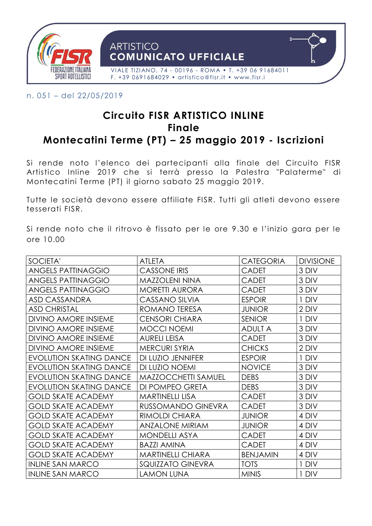

n. 051 – del 22/05/2019

# **Circuito FISR ARTISTICO INLINE Finale Montecatini Terme (PT) – 25 maggio 2019 - Iscrizioni**

Si rende noto l'elenco dei partecipanti alla finale del Circuito FISR Artistico Inline 2019 che si terrà presso la Palestra "Palaterme" di Montecatini Terme (PT) il giorno sabato 25 maggio 2019.

Tutte le società devono essere affiliate FISR. Tutti gli atleti devono essere tesserati FISR.

Si rende noto che il ritrovo è fissato per le ore 9.30 e l'inizio gara per le ore 10.00

| SOCIETA'                       | <b>ATLETA</b>              | <b>CATEGORIA</b> | <b>DIVISIONE</b> |
|--------------------------------|----------------------------|------------------|------------------|
|                                |                            |                  |                  |
| <b>ANGELS PATTINAGGIO</b>      | CASSONE IRIS               | CADET            | 3 DIV            |
| <b>ANGELS PATTINAGGIO</b>      | <b>MAZZOLENI NINA</b>      | CADET            | 3 DIV            |
| <b>ANGELS PATTINAGGIO</b>      | <b>MORETTI AURORA</b>      | <b>CADET</b>     | 3 DIV            |
| ASD CASSANDRA                  | CASSANO SILVIA             | <b>ESPOIR</b>    | 1 DIV            |
| <b>ASD CHRISTAL</b>            | ROMANO TERESA              | <b>JUNIOR</b>    | 2 DIV            |
| <b>DIVINO AMORE INSIEME</b>    | <b>CENSORI CHIARA</b>      | <b>SENIOR</b>    | 1 DIV            |
| <b>DIVINO AMORE INSIEME</b>    | MOCCI NOEMI                | <b>ADULT A</b>   | 3 DIV            |
| <b>DIVINO AMORE INSIEME</b>    | <b>AURELI LEISA</b>        | <b>CADET</b>     | 3 DIV            |
| <b>DIVINO AMORE INSIEME</b>    | <b>MERCURI SYRIA</b>       | <b>CHICKS</b>    | 2 DIV            |
| <b>EVOLUTION SKATING DANCE</b> | DI LUZIO JENNIFER          | <b>ESPOIR</b>    | 1 DIV            |
| <b>EVOLUTION SKATING DANCE</b> | DI LUZIO NOEMI             | <b>NOVICE</b>    | 3 DIV            |
| <b>EVOLUTION SKATING DANCE</b> | <b>MAZZOCCHETTI SAMUEL</b> | <b>DEBS</b>      | 3 DIV            |
| <b>EVOLUTION SKATING DANCE</b> | DI POMPEO GRETA            | <b>DEBS</b>      | 3 DIV            |
| <b>GOLD SKATE ACADEMY</b>      | <b>MARTINELLI LISA</b>     | <b>CADET</b>     | 3 DIV            |
| <b>GOLD SKATE ACADEMY</b>      | RUSSOMANDO GINEVRA         | <b>CADET</b>     | 3 DIV            |
| <b>GOLD SKATE ACADEMY</b>      | <b>RIMOLDI CHIARA</b>      | <b>JUNIOR</b>    | 4 DIV            |
| <b>GOLD SKATE ACADEMY</b>      | <b>ANZALONE MIRIAM</b>     | <b>JUNIOR</b>    | 4 DIV            |
| <b>GOLD SKATE ACADEMY</b>      | <b>MONDELLI ASYA</b>       | <b>CADET</b>     | 4 DIV            |
| <b>GOLD SKATE ACADEMY</b>      | <b>BAZZI AMINA</b>         | <b>CADET</b>     | 4 DIV            |
| <b>GOLD SKATE ACADEMY</b>      | <b>MARTINELLI CHIARA</b>   | <b>BENJAMIN</b>  | 4 DIV            |
| <b>INLINE SAN MARCO</b>        | SQUIZZATO GINEVRA          | <b>TOTS</b>      | 1 DIV            |
| <b>INLINE SAN MARCO</b>        | <b>LAMON LUNA</b>          | <b>MINIS</b>     | 1 DIV            |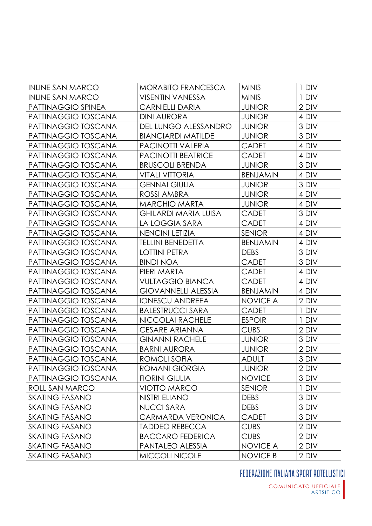| <b>INLINE SAN MARCO</b> | MORABITO FRANCESCA          | <b>MINIS</b>    | 1 DIV |
|-------------------------|-----------------------------|-----------------|-------|
| <b>INLINE SAN MARCO</b> | <b>VISENTIN VANESSA</b>     | <b>MINIS</b>    | 1 DIV |
| PATTINAGGIO SPINEA      | <b>CARNIELLI DARIA</b>      | <b>JUNIOR</b>   | 2 DIV |
| PATTINAGGIO TOSCANA     | <b>DINI AURORA</b>          | <b>JUNIOR</b>   | 4 DIV |
| PATTINAGGIO TOSCANA     | DEL LUNGO ALESSANDRO        | <b>JUNIOR</b>   | 3 DIV |
| PATTINAGGIO TOSCANA     | <b>BIANCIARDI MATILDE</b>   | <b>JUNIOR</b>   | 3 DIV |
| PATTINAGGIO TOSCANA     | <b>PACINOTTI VALERIA</b>    | <b>CADET</b>    | 4 DIV |
| PATTINAGGIO TOSCANA     | <b>PACINOTTI BEATRICE</b>   | <b>CADET</b>    | 4 DIV |
| PATTINAGGIO TOSCANA     | <b>BRUSCOLI BRENDA</b>      | <b>JUNIOR</b>   | 3 DIV |
| PATTINAGGIO TOSCANA     | <b>VITALI VITTORIA</b>      | <b>BENJAMIN</b> | 4 DIV |
| PATTINAGGIO TOSCANA     | <b>GENNAI GIULIA</b>        | <b>JUNIOR</b>   | 3 DIV |
| PATTINAGGIO TOSCANA     | ROSSI AMBRA                 | <b>JUNIOR</b>   | 4 DIV |
| PATTINAGGIO TOSCANA     | <b>MARCHIO MARTA</b>        | <b>JUNIOR</b>   | 4 DIV |
| PATTINAGGIO TOSCANA     | <b>GHILARDI MARIA LUISA</b> | CADET           | 3 DIV |
| PATTINAGGIO TOSCANA     | LA LOGGIA SARA              | <b>CADET</b>    | 4 DIV |
| PATTINAGGIO TOSCANA     | <b>NENCINI LETIZIA</b>      | <b>SENIOR</b>   | 4 DIV |
| PATTINAGGIO TOSCANA     | <b>TELLINI BENEDETTA</b>    | <b>BENJAMIN</b> | 4 DIV |
| PATTINAGGIO TOSCANA     | <b>LOTTINI PETRA</b>        | <b>DEBS</b>     | 3 DIV |
| PATTINAGGIO TOSCANA     | <b>BINDI NOA</b>            | <b>CADET</b>    | 3 DIV |
| PATTINAGGIO TOSCANA     | PIERI MARTA                 | CADET           | 4 DIV |
| PATTINAGGIO TOSCANA     | <b>VULTAGGIO BIANCA</b>     | CADET           | 4 DIV |
| PATTINAGGIO TOSCANA     | <b>GIOVANNELLI ALESSIA</b>  | <b>BENJAMIN</b> | 4 DIV |
| PATTINAGGIO TOSCANA     | <b>IONESCU ANDREEA</b>      | <b>NOVICE A</b> | 2 DIV |
| PATTINAGGIO TOSCANA     | <b>BALESTRUCCI SARA</b>     | CADET           | 1 DIV |
| PATTINAGGIO TOSCANA     | NICCOLAI RACHELE            | <b>ESPOIR</b>   | 1 DIV |
| PATTINAGGIO TOSCANA     | CESARE ARIANNA              | <b>CUBS</b>     | 2 DIV |
| PATTINAGGIO TOSCANA     | <b>GINANNI RACHELE</b>      | <b>JUNIOR</b>   | 3 DIV |
| PATTINAGGIO TOSCANA     | <b>BARNI AURORA</b>         | <b>JUNIOR</b>   | 2 DIV |
| PATTINAGGIO TOSCANA     | ROMOLI SOFIA                | <b>ADULT</b>    | 3 DIV |
| PATTINAGGIO TOSCANA     | <b>ROMANI GIORGIA</b>       | <b>JUNIOR</b>   | 2 DIV |
| PATTINAGGIO TOSCANA     | <b>FIORINI GIULIA</b>       | <b>NOVICE</b>   | 3 DIV |
| <b>ROLL SAN MARCO</b>   | <b>VIOTTO MARCO</b>         | <b>SENIOR</b>   | 1 DIV |
| <b>SKATING FASANO</b>   | NISTRI ELIANO               | <b>DEBS</b>     | 3 DIV |
| <b>SKATING FASANO</b>   | <b>NUCCI SARA</b>           | <b>DEBS</b>     | 3 DIV |
| <b>SKATING FASANO</b>   | CARMARDA VERONICA           | <b>CADET</b>    | 3 DIV |
| <b>SKATING FASANO</b>   | <b>TADDEO REBECCA</b>       | <b>CUBS</b>     | 2 DIV |
| <b>SKATING FASANO</b>   | <b>BACCARO FEDERICA</b>     | <b>CUBS</b>     | 2 DIV |
| <b>SKATING FASANO</b>   | PANTALEO ALESSIA            | <b>NOVICE A</b> | 2 DIV |
| <b>SKATING FASANO</b>   | MICCOLI NICOLE              | <b>NOVICE B</b> | 2 DIV |

## FEDERAZIONE ITALIANA SPORT ROTELLISTICI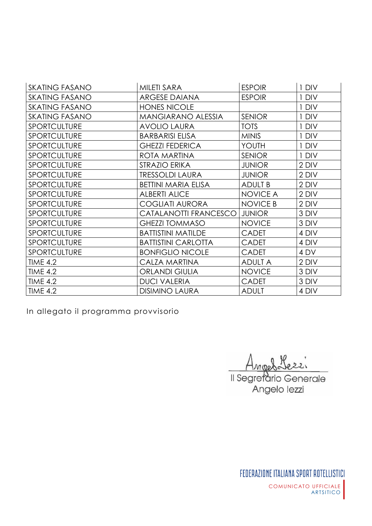| <b>SKATING FASANO</b> | MILETI SARA                | <b>ESPOIR</b>   | 1 DIV |
|-----------------------|----------------------------|-----------------|-------|
| <b>SKATING FASANO</b> | <b>ARGESE DAIANA</b>       | <b>ESPOIR</b>   | 1 DIV |
| <b>SKATING FASANO</b> | <b>HONES NICOLE</b>        |                 | 1 DIV |
| <b>SKATING FASANO</b> | <b>MANGIARANO ALESSIA</b>  | <b>SENIOR</b>   | 1 DIV |
| <b>SPORTCULTURE</b>   | <b>AVOLIO LAURA</b>        | <b>TOTS</b>     | 1 DIV |
| <b>SPORTCULTURE</b>   | <b>BARBARISI ELISA</b>     | <b>MINIS</b>    | 1 DIV |
| <b>SPORTCULTURE</b>   | <b>GHEZZI FEDERICA</b>     | YOUTH           | 1 DIV |
| <b>SPORTCULTURE</b>   | ROTA MARTINA               | <b>SENIOR</b>   | 1 DIV |
| <b>SPORTCULTURE</b>   | STRAZIO ERIKA              | <b>JUNIOR</b>   | 2 DIV |
| <b>SPORTCULTURE</b>   | <b>TRESSOLDI LAURA</b>     | <b>JUNIOR</b>   | 2 DIV |
| <b>SPORTCULTURE</b>   | <b>BETTINI MARIA ELISA</b> | <b>ADULT B</b>  | 2 DIV |
| <b>SPORTCULTURE</b>   | <b>ALBERTI ALICE</b>       | <b>NOVICE A</b> | 2 DIV |
| SPORTCULTURE          | <b>COGLIATI AURORA</b>     | <b>NOVICE B</b> | 2 DIV |
| SPORTCULTURE          | CATALANOTTI FRANCESCO      | <b>JUNIOR</b>   | 3 DIV |
| <b>SPORTCULTURE</b>   | <b>GHEZZI TOMMASO</b>      | <b>NOVICE</b>   | 3 DIV |
| SPORTCULTURE          | <b>BATTISTINI MATILDE</b>  | <b>CADET</b>    | 4 DIV |
| SPORTCULTURE          | <b>BATTISTINI CARLOTTA</b> | <b>CADET</b>    | 4 DIV |
| <b>SPORTCULTURE</b>   | <b>BONFIGLIO NICOLE</b>    | <b>CADET</b>    | 4 DV  |
| <b>TIME 4.2</b>       | CALZA MARTINA              | <b>ADULT A</b>  | 2 DIV |
| <b>TIME 4.2</b>       | <b>ORLANDI GIULIA</b>      | <b>NOVICE</b>   | 3 DIV |
| <b>TIME 4.2</b>       | <b>DUCI VALERIA</b>        | <b>CADET</b>    | 3 DIV |
| <b>TIME 4.2</b>       | <b>DISIMINO LAURA</b>      | <b>ADULT</b>    | 4 DIV |

In allegato il programma provvisorio

Angel Il Segretario Generale

Angelo lezzi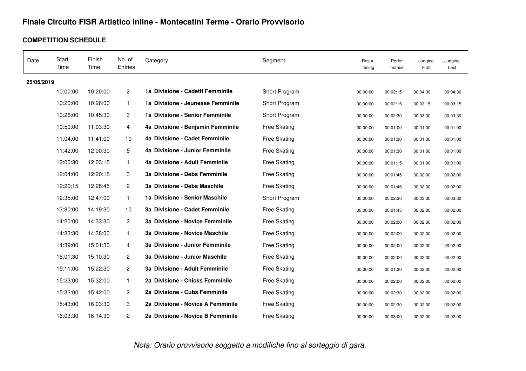## **Finale Circuito FISR Artistico Inline - Montecatini Terme - Orario Provvisorio**

#### **COMPETITION SCHEDULE**

| Date       | Start<br>Time | Finish<br>Time | No. of<br>Entries | Category                          | Segment             | Resur-<br>facing | Perfor-<br>mance | Judging<br>First | Judging<br>Last |
|------------|---------------|----------------|-------------------|-----------------------------------|---------------------|------------------|------------------|------------------|-----------------|
| 25/05/2019 |               |                |                   |                                   |                     |                  |                  |                  |                 |
|            | 10:00:00      | 10:20:00       | $\overline{2}$    | 1a Divisione - Cadetti Femminile  | Short Program       | 00:00:00         | 00:02:15         | 00:04:30         | 00:04:30        |
|            | 10:20:00      | 10:26:00       | $\mathbf{1}$      | 1a Divisione - Jeunesse Femminile | Short Program       | 00:00:00         | 00:02:15         | 00:03:15         | 00:03:15        |
|            | 10:26:00      | 10:45:30       | 3                 | 1a Divisione - Senior Femminile   | Short Program       | 00:00:00         | 00:02:30         | 00:03:30         | 00:03:30        |
|            | 10:50:00      | 11:03:30       | $\overline{4}$    | 4a Divisione - Benjamin Femminile | <b>Free Skating</b> | 00:00:00         | 00:01:00         | 00:01:00         | 00:01:00        |
|            | 11:04:00      | 11:41:00       | 10                | 4a Divisione - Cadet Femminile    | <b>Free Skating</b> | 00:00:00         | 00:01:30         | 00:01:00         | 00:01:00        |
|            | 11:42:00      | 12:00:30       | 5                 | 4a Divisione - Junior Femminile   | <b>Free Skating</b> | 00:00:00         | 00:01:30         | 00:01:00         | 00:01:00        |
|            | 12:00:30      | 12:03:15       | $\mathbf{1}$      | 4a Divisione - Adult Femminile    | Free Skating        | 00:00:00         | 00:01:15         | 00:01:00         | 00:01:00        |
|            | 12:04:00      | 12:20:15       | 3                 | 3a Divisione - Debs Femminile     | <b>Free Skating</b> | 00:00:00         | 00:01:45         | 00:02:00         | 00:02:00        |
|            | 12:20:15      | 12:28:45       | $\mathbf{2}$      | 3a Divisione - Debs Maschile      | <b>Free Skating</b> | 00:00:00         | 00:01:45         | 00:02:00         | 00:02:00        |
|            | 12:35:00      | 12:47:00       | $\mathbf{1}$      | 1a Divisione - Senior Maschile    | Short Program       | 00:00:00         | 00:02:30         | 00:03:30         | 00:03:30        |
|            | 13:30:00      | 14:19:30       | 10                | 3a Divisione - Cadet Femminile    | <b>Free Skating</b> | 00:00:00         | 00:01:45         | 00:02:00         | 00:02:00        |
|            | 14:20:00      | 14:33:30       | $\overline{2}$    | 3a Divisione - Novice Femminile   | <b>Free Skating</b> | 00:00:00         | 00:02:00         | 00:02:00         | 00:02:00        |
|            | 14:33:30      | 14:38:00       | $\mathbf{1}$      | 3a Divisione - Novice Maschile    | <b>Free Skating</b> | 00:00:00         | 00:02:00         | 00:02:00         | 00:02:00        |
|            | 14:39:00      | 15:01:30       | 4                 | 3a Divisione - Junior Femminile   | <b>Free Skating</b> | 00:00:00         | 00:02:00         | 00:02:00         | 00:02:00        |
|            | 15:01:30      | 15:10:30       | $\overline{2}$    | 3a Divisione - Junior Maschile    | <b>Free Skating</b> | 00:00:00         | 00:02:00         | 00:02:00         | 00:02:00        |
|            | 15:11:00      | 15:22:30       | $\overline{c}$    | 3a Divisione - Adult Femminile    | <b>Free Skating</b> | 00:00:00         | 00:01:30         | 00:02:00         | 00:02:00        |
|            | 15:23:00      | 15:32:00       | $\mathbf{1}$      | 2a Divisione - Chicks Femminile   | <b>Free Skating</b> | 00:00:00         | 00:02:00         | 00:02:00         | 00:02:00        |
|            | 15:32:00      | 15:42:00       | $\overline{2}$    | 2a Divisione - Cubs Femminile     | <b>Free Skating</b> | 00:00:00         | 00:02:30         | 00:02:00         | 00:02:00        |
|            | 15:43:00      | 16:03:30       | 3                 | 2a Divisione - Novice A Femminile | <b>Free Skating</b> | 00:00:00         | 00:02:30         | 00:02:00         | 00:02:00        |
|            | 16:03:30      | 16:14:30       | $\overline{2}$    | 2a Divisione - Novice B Femminile | <b>Free Skating</b> | 00:00:00         | 00:03:00         | 00:02:00         | 00:02:00        |

*Nota: Orario provvisorio soggetto a modifiche fino al sorteggio di gara.*